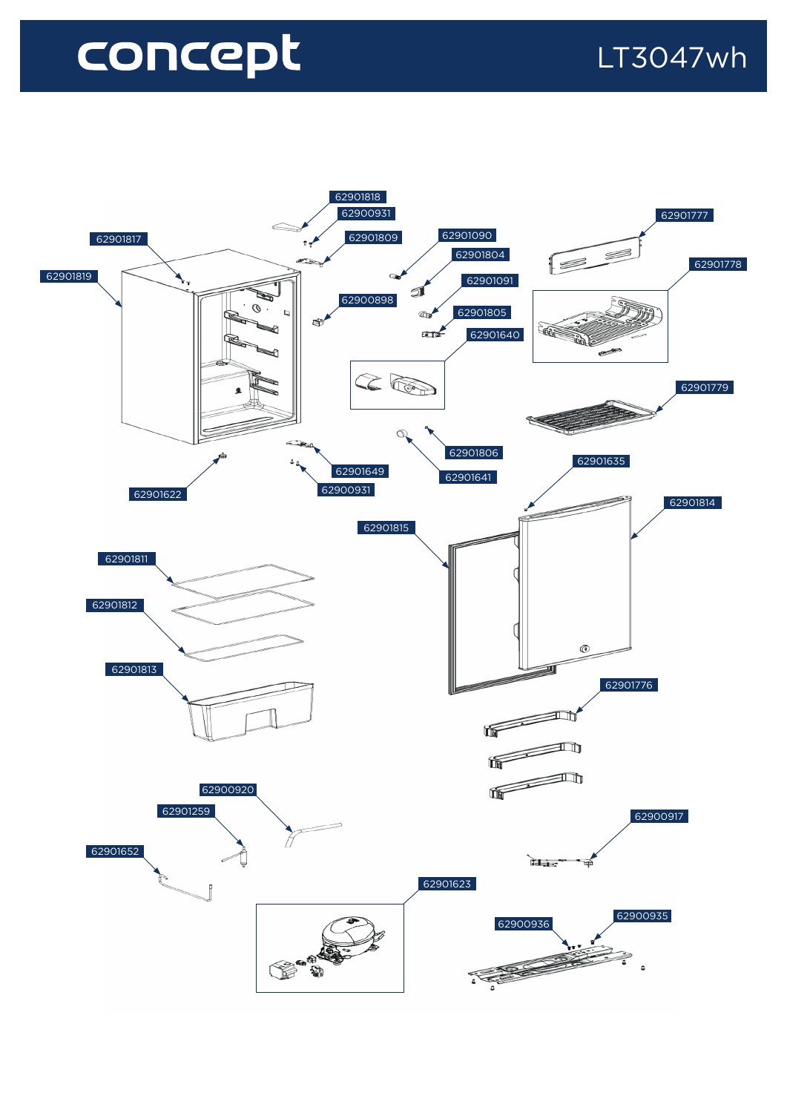## concept



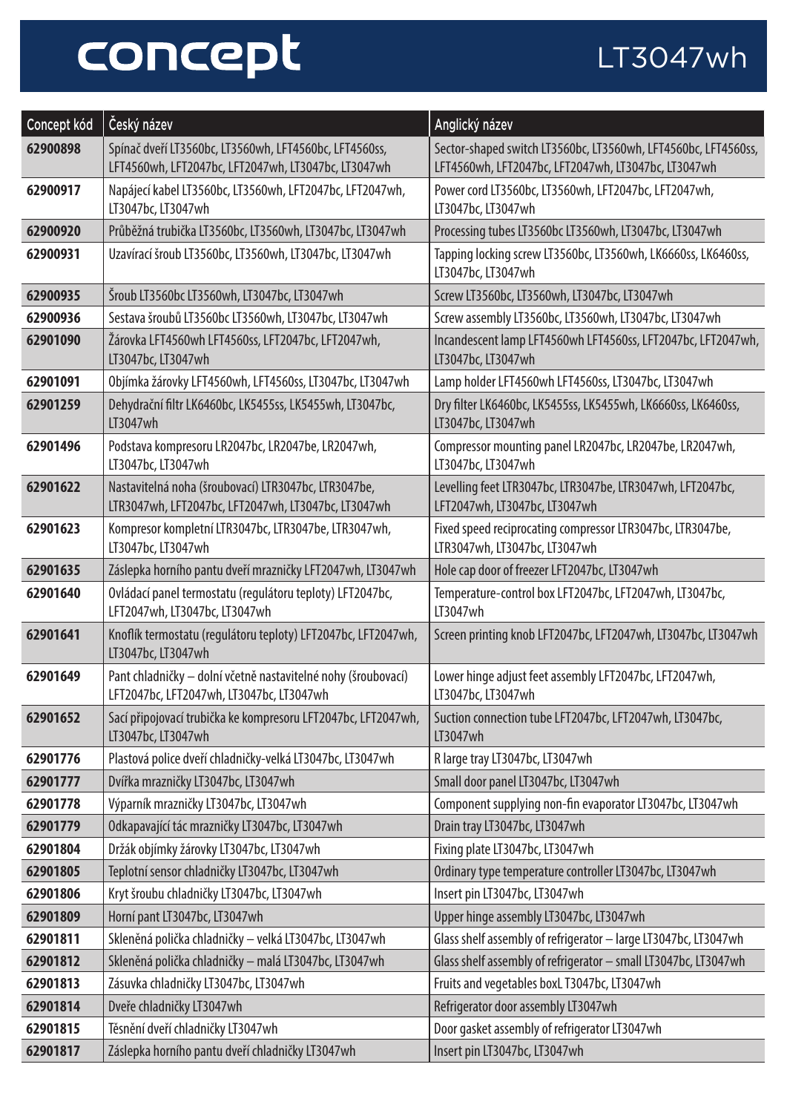## concept

## LT3047wh

| Concept kód | Český název                                                                                                   | Anglický název                                                                                                        |
|-------------|---------------------------------------------------------------------------------------------------------------|-----------------------------------------------------------------------------------------------------------------------|
| 62900898    | Spínač dveří LT3560bc, LT3560wh, LFT4560bc, LFT4560ss,<br>LFT4560wh, LFT2047bc, LFT2047wh, LT3047bc, LT3047wh | Sector-shaped switch LT3560bc, LT3560wh, LFT4560bc, LFT4560ss,<br>LFT4560wh, LFT2047bc, LFT2047wh, LT3047bc, LT3047wh |
| 62900917    | Napájecí kabel LT3560bc, LT3560wh, LFT2047bc, LFT2047wh,<br>LT3047bc, LT3047wh                                | Power cord LT3560bc, LT3560wh, LFT2047bc, LFT2047wh,<br>LT3047bc, LT3047wh                                            |
| 62900920    | Průběžná trubička LT3560bc, LT3560wh, LT3047bc, LT3047wh                                                      | Processing tubes LT3560bc LT3560wh, LT3047bc, LT3047wh                                                                |
| 62900931    | Uzavírací šroub LT3560bc, LT3560wh, LT3047bc, LT3047wh                                                        | Tapping locking screw LT3560bc, LT3560wh, LK6660ss, LK6460ss,<br>LT3047bc, LT3047wh                                   |
| 62900935    | Šroub LT3560bc LT3560wh, LT3047bc, LT3047wh                                                                   | Screw LT3560bc, LT3560wh, LT3047bc, LT3047wh                                                                          |
| 62900936    | Sestava šroubů LT3560bc LT3560wh, LT3047bc, LT3047wh                                                          | Screw assembly LT3560bc, LT3560wh, LT3047bc, LT3047wh                                                                 |
| 62901090    | Žárovka LFT4560wh LFT4560ss, LFT2047bc, LFT2047wh,<br>LT3047bc, LT3047wh                                      | Incandescent lamp LFT4560wh LFT4560ss, LFT2047bc, LFT2047wh,<br>LT3047bc, LT3047wh                                    |
| 62901091    | Objímka žárovky LFT4560wh, LFT4560ss, LT3047bc, LT3047wh                                                      | Lamp holder LFT4560wh LFT4560ss, LT3047bc, LT3047wh                                                                   |
| 62901259    | Dehydrační filtr LK6460bc, LK5455ss, LK5455wh, LT3047bc,<br>LT3047wh                                          | Dry filter LK6460bc, LK5455ss, LK5455wh, LK6660ss, LK6460ss,<br>LT3047bc, LT3047wh                                    |
| 62901496    | Podstava kompresoru LR2047bc, LR2047be, LR2047wh,<br>LT3047bc, LT3047wh                                       | Compressor mounting panel LR2047bc, LR2047be, LR2047wh,<br>LT3047bc, LT3047wh                                         |
| 62901622    | Nastavitelná noha (šroubovací) LTR3047bc, LTR3047be,<br>LTR3047wh, LFT2047bc, LFT2047wh, LT3047bc, LT3047wh   | Levelling feet LTR3047bc, LTR3047be, LTR3047wh, LFT2047bc,<br>LFT2047wh, LT3047bc, LT3047wh                           |
| 62901623    | Kompresor kompletní LTR3047bc, LTR3047be, LTR3047wh,<br>LT3047bc, LT3047wh                                    | Fixed speed reciprocating compressor LTR3047bc, LTR3047be,<br>LTR3047wh, LT3047bc, LT3047wh                           |
| 62901635    | Záslepka horního pantu dveří mrazničky LFT2047wh, LT3047wh                                                    | Hole cap door of freezer LFT2047bc, LT3047wh                                                                          |
| 62901640    | Ovládací panel termostatu (regulátoru teploty) LFT2047bc,<br>LFT2047wh, LT3047bc, LT3047wh                    | Temperature-control box LFT2047bc, LFT2047wh, LT3047bc,<br>LT3047wh                                                   |
| 62901641    | Knoflík termostatu (regulátoru teploty) LFT2047bc, LFT2047wh,<br>LT3047bc, LT3047wh                           | Screen printing knob LFT2047bc, LFT2047wh, LT3047bc, LT3047wh                                                         |
| 62901649    | Pant chladničky – dolní včetně nastavitelné nohy (šroubovací)<br>LFT2047bc, LFT2047wh, LT3047bc, LT3047wh     | Lower hinge adjust feet assembly LFT2047bc, LFT2047wh,<br>LT3047bc, LT3047wh                                          |
| 62901652    | Sací připojovací trubička ke kompresoru LFT2047bc, LFT2047wh,<br>LT3047bc, LT3047wh                           | Suction connection tube LFT2047bc, LFT2047wh, LT3047bc,<br>LT3047wh                                                   |
| 62901776    | Plastová police dveří chladničky-velká LT3047bc, LT3047wh                                                     | R large tray LT3047bc, LT3047wh                                                                                       |
| 62901777    | Dvířka mrazničky LT3047bc, LT3047wh                                                                           | Small door panel LT3047bc, LT3047wh                                                                                   |
| 62901778    | Výparník mrazničky LT3047bc, LT3047wh                                                                         | Component supplying non-fin evaporator LT3047bc, LT3047wh                                                             |
| 62901779    | Odkapavající tác mrazničky LT3047bc, LT3047wh                                                                 | Drain tray LT3047bc, LT3047wh                                                                                         |
| 62901804    | Držák objímky žárovky LT3047bc, LT3047wh                                                                      | Fixing plate LT3047bc, LT3047wh                                                                                       |
| 62901805    | Teplotní sensor chladničky LT3047bc, LT3047wh                                                                 | Ordinary type temperature controller LT3047bc, LT3047wh                                                               |
| 62901806    | Kryt šroubu chladničky LT3047bc, LT3047wh                                                                     | Insert pin LT3047bc, LT3047wh                                                                                         |
| 62901809    | Horní pant LT3047bc, LT3047wh                                                                                 | Upper hinge assembly LT3047bc, LT3047wh                                                                               |
| 62901811    | Skleněná polička chladničky – velká LT3047bc, LT3047wh                                                        | Glass shelf assembly of refrigerator - large LT3047bc, LT3047wh                                                       |
| 62901812    | Skleněná polička chladničky - malá LT3047bc, LT3047wh                                                         | Glass shelf assembly of refrigerator - small LT3047bc, LT3047wh                                                       |
| 62901813    | Zásuvka chladničky LT3047bc, LT3047wh                                                                         | Fruits and vegetables boxL T3047bc, LT3047wh                                                                          |
| 62901814    | Dveře chladničky LT3047wh                                                                                     | Refrigerator door assembly LT3047wh                                                                                   |
| 62901815    | Těsnění dveří chladničky LT3047wh                                                                             | Door gasket assembly of refrigerator LT3047wh                                                                         |
| 62901817    | Záslepka horního pantu dveří chladničky LT3047wh                                                              | Insert pin LT3047bc, LT3047wh                                                                                         |